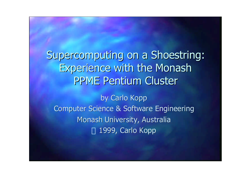Supercomputing on a Shoestring: Experience with the Monash PPME Pentium Cluster

by Carlo Kopp Computer Science & Software Engineering Monash University, Australia 1999, Carlo Kopp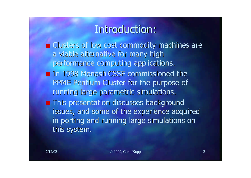## Introduction:

**n** Clusters of low cost commodity machines are a viable alternative for many high performance computing applications.

- **n** In 1998 Monash CSSE commissioned the PPME Pentium Cluster for the purpose of running large parametric simulations.
- **n This presentation discusses background** issues, and some of the experience acquired in porting and running large simulations on this system.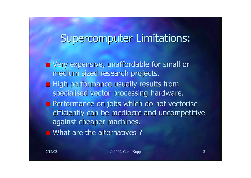## Supercomputer Limitations:

**n** Very expensive, unaffordable for small or medium sized research projects. **n High performance usually results from** specialised vector processing hardware. **n Performance on jobs which do not vectorise** efficiently can be mediocre and uncompetitive against cheaper machines.  $\blacksquare$  What are the alternatives ?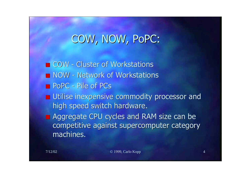## COW, NOW, PoPC:

■ COW - Cluster of Workstations n NOW - Network of Workstations **n** PoPC - Pile of PCs **n** Utilise inexpensive commodity processor and high speed switch hardware. ■ Aggregate CPU cycles and RAM size can be competitive against supercomputer category machines.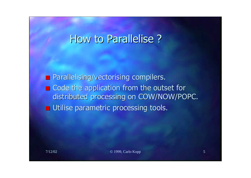#### How to Parallelise ?

**n** Parallelising/vectorising compilers. ■ Code the application from the outset for distributed processing on COW/NOW/POPC. **n** Utilise parametric processing tools.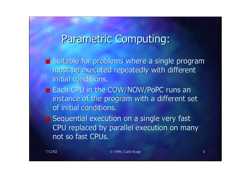## Parametric Computing:

- **n** Suitable for problems where a single program must be executed repeatedly with different initial conditions.
- **n** Each CPU in the COW/NOW/PoPC runs an instance of the program with a different set of initial conditions.
- **n** Sequential execution on a single very fast CPU replaced by parallel execution on many not so fast CPUs.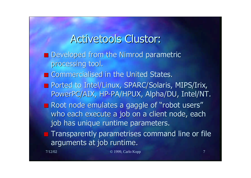### Activetools Clustor:

- **n** Developed from the Nimrod parametric processing tool.
- **n** Commercialised in the United States.
- **n Ported to Intel/Linux, SPARC/Solaris, MIPS/Irix,** PowerPC/AIX, HP-PA/HPUX, Alpha/DU, Intel/NT.
- Root node emulates a gaggle of "robot users" who each execute a job on a client node, each job has unique runtime parameters.
	- Transparently parametrises command line or file arguments at job runtime.

7/12/02 © 1999, Carlo Kopp 7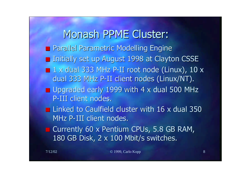## Monash PPME Cluster: **n Parallel Parametric Modelling Engine** n Initially set up August 1998 at Clayton CSSE  $\blacksquare$  1 x dual 333 MHz P-II root node (Linux), 10 x dual 333 MHz P-II client nodes (Linux/NT). **n Upgraded early 1999 with 4 x dual 500 MHz** P-III client nodes.  $\Box$  Linked to Caulfield cluster with 16 x dual 350 MHz P-III client nodes. **n** Currently 60 x Pentium CPUs, 5.8 GB RAM, 180 GB Disk, 2 x 100 Mbit/s switches.

7/12/02 © 1999, Carlo Kopp 8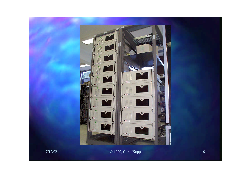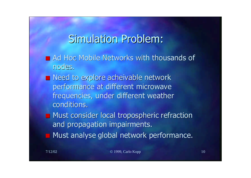## Simulation Problem:

- **n** Ad Hoc Mobile Networks with thousands of nodes.
- **n Need to explore acheivable network** performance at different microwave frequencies, under different weather conditions.

**n Must consider local tropospheric refraction** and propagation impairments.

Must analyse global network performance.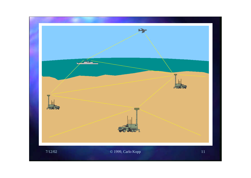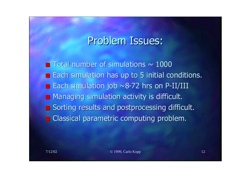#### Problem Issues:

 $\blacksquare$  Total number of simulations  $\sim 1000$  $\blacksquare$  Each simulation has up to 5 initial conditions.  $\blacksquare$  Each simulation job ~8-72 hrs on P-II/III **n Managing simulation activity is difficult.** ■ Sorting results and postprocessing difficult. **n Classical parametric computing problem.**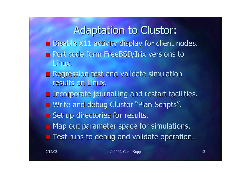## Adaptation to Clustor:

- **n** Disable X11 activity display for client nodes.
- **n** Port code form FreeBSD/Irix versions to Linux.
- **n Regression test and validate simulation** results on Linux.
- **n Incorporate journalling and restart facilities.**
- Write and debug Clustor "Plan Scripts".
- $\blacksquare$  Set up directories for results.
- **n** Map out parameter space for simulations.
- **n** Test runs to debug and validate operation.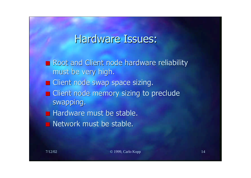### Hardware Issues:

Root and Client node hardware reliability must be very high. **n Client node swap space sizing. n Client node memory sizing to preclude** swapping. **n** Hardware must be stable.  $\blacksquare$  Network must be stable.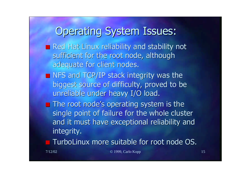## Operating System Issues:

- **n Red Hat Linux reliability and stability not** sufficient for the root node, although adequate for client nodes.
- **n NFS and TCP/IP stack integrity was the** biggest source of difficulty, proved to be unreliable under heavy I/O load.
- $\blacksquare$  The root node's operating system is the single point of failure for the whole cluster and it must have exceptional reliability and integrity.
- **n** TurboLinux more suitable for root node OS.

7/12/02 © 1999, Carlo Kopp 15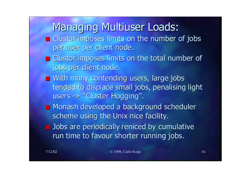## Managing Multiuser Loads:

- **n** Clustor imposes limits on the number of jobs per user per client node.
- **n** Clustor imposes limits on the total number of jobs per client node.
- **n With many contending users, large jobs** tended to displace small jobs, penalising light users -> "Cluster Hogging".
- **n Monash developed a background scheduler** scheme using the Unix nice facility.
- **n** Jobs are periodically reniced by cumulative run time to favour shorter running jobs.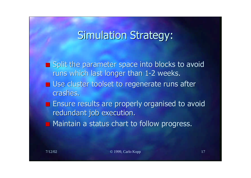## Simulation Strategy:

**n** Split the parameter space into blocks to avoid runs which last longer than 1-2 weeks. **n** Use cluster toolset to regenerate runs after crashes.

- **n Ensure results are properly organised to avoid** redundant job execution.
- $\blacksquare$  Maintain a status chart to follow progress.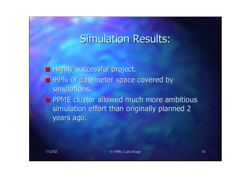# Simulation Results:

**n Highly successful project. n** 99% of parameter space covered by simulations. **n PPME cluster allowed much more ambitious** simulation effort than originally planned 2 years ago.